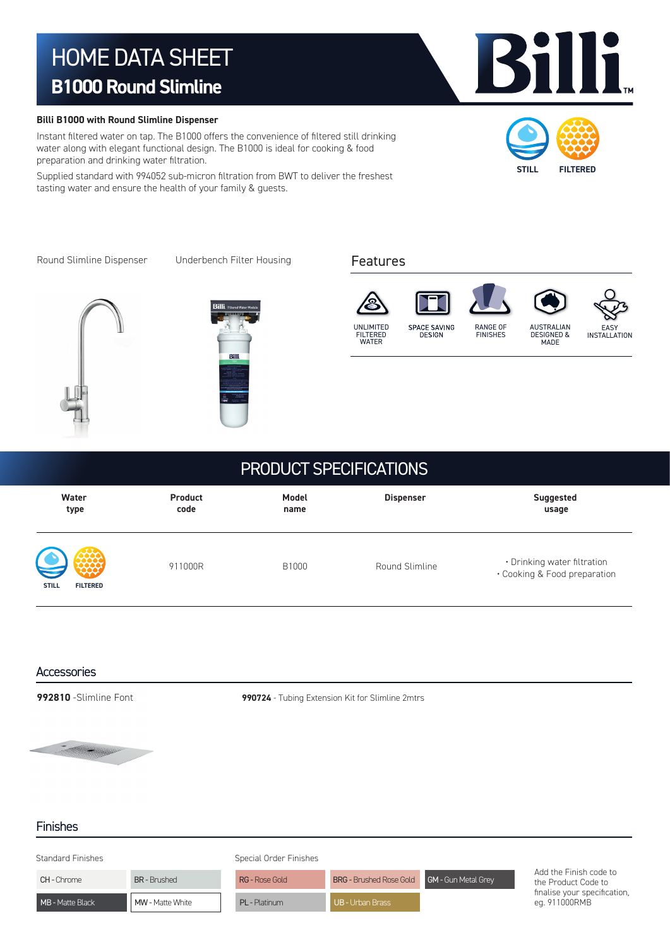# HOME DATA SHEET **B1000 Round Slimline**

### **Billi B1000 with Round Slimline Dispenser**

Instant filtered water on tap. The B1000 offers the convenience of filtered still drinking water along with elegant functional design. The B1000 is ideal for cooking & food preparation and drinking water filtration.

Supplied standard with 994052 sub-micron filtration from BWT to deliver the freshest tasting water and ensure the health of your family & guests.



Kř

IIi

Round Slimline Dispenser Underbench Filter Housing









## PRODUCT SPECIFICATIONS

| Water                                           | <b>Product</b> | Model | <b>Dispenser</b> | <b>Suggested</b>                                            |
|-------------------------------------------------|----------------|-------|------------------|-------------------------------------------------------------|
| type                                            | code           | name  |                  | usage                                                       |
| $\bigcup \,$<br><b>STILL</b><br><b>FILTERED</b> | 911000R        | B1000 | Round Slimline   | • Drinking water filtration<br>• Cooking & Food preparation |

### **Accessories**

**992810** -Slimline Font **990724** - Tubing Extension Kit for Slimline 2mtrs



### Finishes

| Standard Finishes |                   | Special Order Finishes |                                             |  |                                                                                                |  |  |
|-------------------|-------------------|------------------------|---------------------------------------------|--|------------------------------------------------------------------------------------------------|--|--|
| <b>CH-Chrome</b>  | <b>BR-Brushed</b> | <b>RG - Rose Gold</b>  | BRG - Brushed Rose Gold GM - Gun Metal Grey |  | Add the Finish code to<br>the Product Code to<br>finalise your specification,<br>eg. 911000RMB |  |  |
| MB - Matte Black  | MW - Matte White  | <b>PL</b> - Platinum   | UB - Urban Brass                            |  |                                                                                                |  |  |